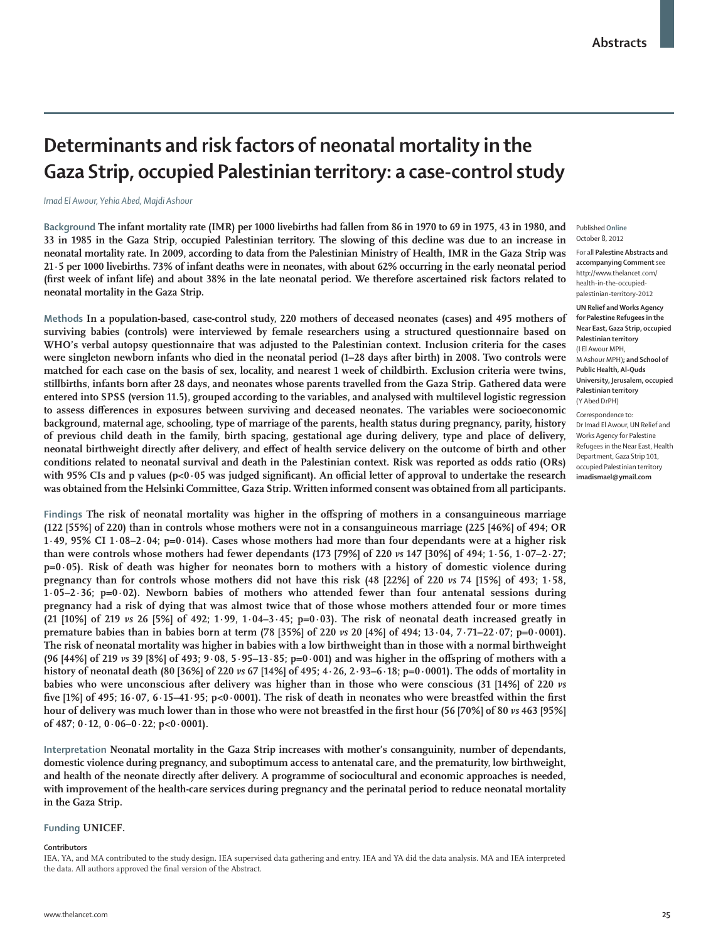# **Determinants and risk factors of neonatal mortality in the Gaza Strip, occupied Palestinian territory: a case-control study**

### *Imad El Awour, Yehia Abed, Majdi Ashour*

**Background The infant mortality rate (IMR) per 1000 livebirths had fallen from 86 in 1970 to 69 in 1975, 43 in 1980, and 33 in 1985 in the Gaza Strip, occupied Palestinian territory. The slowing of this decline was due to an increase in neonatal mortality rate. In 2009, according to data from the Palestinian Ministry of Health, IMR in the Gaza Strip was 21·5 per 1000 livebirths. 73% of infant deaths were in neonates, with about 62% occurring in the early neonatal period**  (first week of infant life) and about 38% in the late neonatal period. We therefore ascertained risk factors related to **neonatal mortality in the Gaza Strip.**

**Methods In a population-based, case-control study, 220 mothers of deceased neonates (cases) and 495 mothers of surviving babies (controls) were interviewed by female researchers using a structured questionnaire based on WHO's verbal autopsy questionnaire that was adjusted to the Palestinian context. Inclusion criteria for the cases were singleton newborn infants who died in the neonatal period (1–28 days after birth) in 2008. Two controls were matched for each case on the basis of sex, locality, and nearest 1 week of childbirth. Exclusion criteria were twins, stillbirths, infants born after 28 days, and neonates whose parents travelled from the Gaza Strip. Gathered data were entered into SPSS (version 11.5), grouped according to the variables, and analysed with multilevel logistic regression**  to assess differences in exposures between surviving and deceased neonates. The variables were socioeconomic **background, maternal age, schooling, type of marriage of the parents, health status during pregnancy, parity, history of previous child death in the family, birth spacing, gestational age during delivery, type and place of delivery,**  neonatal birthweight directly after delivery, and effect of health service delivery on the outcome of birth and other **conditions related to neonatal survival and death in the Palestinian context. Risk was reported as odds ratio (ORs)**  with 95% CIs and p values (p<0·05 was judged significant). An official letter of approval to undertake the research **was obtained from the Helsinki Committee, Gaza Strip. Written informed consent was obtained from all participants.**

Findings The risk of neonatal mortality was higher in the offspring of mothers in a consanguineous marriage **(122 [55%] of 220) than in controls whose mothers were not in a consanguineous marriage (225 [46%] of 494; OR 1·49, 95% CI 1·08–2·04; p=0·014). Cases whose mothers had more than four dependants were at a higher risk than were controls whose mothers had fewer dependants (173 [79%] of 220** *vs* **147 [30%] of 494; 1·56, 1·07–2·27; p=0·05). Risk of death was higher for neonates born to mothers with a history of domestic violence during pregnancy than for controls whose mothers did not have this risk (48 [22%] of 220** *vs* **74 [15%] of 493; 1·58, 1·05–2·36; p=0·02). Newborn babies of mothers who attended fewer than four antenatal sessions during pregnancy had a risk of dying that was almost twice that of those whose mothers attended four or more times (21 [10%] of 219** *vs* **26 [5%] of 492; 1·99, 1·04–3·45; p=0·03). The risk of neonatal death increased greatly in premature babies than in babies born at term (78 [35%] of 220** *vs* **20 [4%] of 494; 13·04, 7·71–22·07; p=0·0001). The risk of neonatal mortality was higher in babies with a low birthweight than in those with a normal birthweight (96 [44%] of 219** *vs* **39 [8%] of 493; 9·08, 5·95–13·85; p=0·001) and was higher in the off spring of mothers with a history of neonatal death (80 [36%] of 220** *vs* **67 [14%] of 495; 4·26, 2·93–6·18; p=0·0001). The odds of mortality in babies who were unconscious after delivery was higher than in those who were conscious (31 [14%] of 220** *vs* five  $[1\%]$  of 495;  $16.07$ ,  $6.15-41.95$ ;  $p<0.0001$ ). The risk of death in neonates who were breastfed within the first hour of delivery was much lower than in those who were not breastfed in the first hour (56 [70%] of 80 *vs* 463 [95%] **of 487; 0·12, 0·06–0·22; p<0·0001).**

**Interpretation Neonatal mortality in the Gaza Strip increases with mother's consanguinity, number of dependants, domestic violence during pregnancy, and suboptimum access to antenatal care, and the prematurity, low birthweight, and health of the neonate directly after delivery. A programme of sociocultural and economic approaches is needed, with improvement of the health-care services during pregnancy and the perinatal period to reduce neonatal mortality in the Gaza Strip.**

# **Funding UNICEF.**

#### **Contributors**

IEA, YA, and MA contributed to the study design. IEA supervised data gathering and entry. IEA and YA did the data analysis. MA and IEA interpreted the data. All authors approved the final version of the Abstract.

#### Published **Online** October 8, 2012

For all **Palestine Abstracts and accompanying Comment** see http://www.thelancet.com/ health-in-the-occupiedpalestinian-territory-2012

**UN Relief and Works Agency for Palestine Refugees in the Near East, Gaza Strip, occupied Palestinian territory** (I El Awour MPH, M Ashour MPH)**; and School of Public Health, Al-Quds University, Jerusalem, occupied Palestinian territory** (Y Abed DrPH)

Correspondence to:

Dr Imad El Awour, UN Relief and Works Agency for Palestine Refugees in the Near East, Health Department, Gaza Strip 101, occupied Palestinian territory **imadismael@ymail.com**